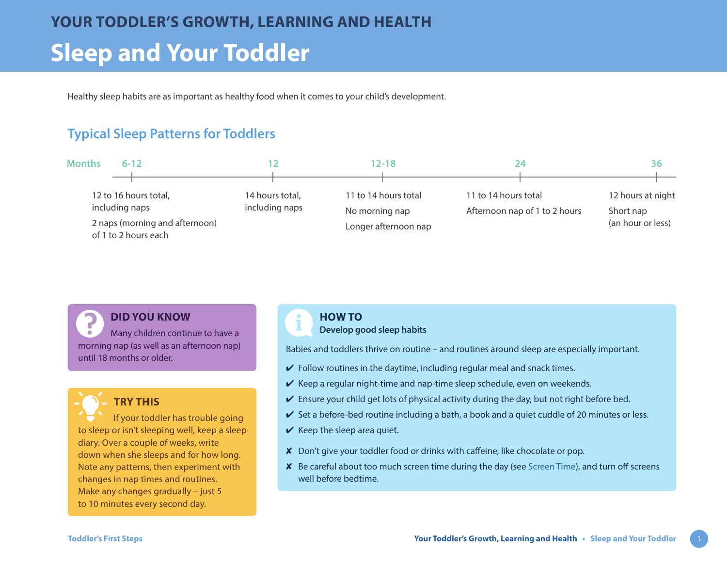Healthy sleep habits are as important as healthy food when it comes to your child's development.

# **Typical Sleep Patterns for Toddlers**



**DID YOU KNOW**

Many children continue to have a morning nap (as well as an afternoon nap) until 18 months or older.



## **TRY THIS**

If your toddler has trouble going to sleep or isn't sleeping well, keep a sleep diary. Over a couple of weeks, write down when she sleeps and for how long. Note any patterns, then experiment with changes in nap times and routines. Make any changes gradually – just 5 to 10 minutes every second day.

#### **HOW TO**

**Develop good sleep habits**

Babies and toddlers thrive on routine – and routines around sleep are especially important.

- $\vee$  Follow routines in the daytime, including regular meal and snack times.
- $\vee$  Keep a regular night-time and nap-time sleep schedule, even on weekends.
- $\vee$  Ensure your child get lots of physical activity during the day, but not right before bed.
- $\vee$  Set a before-bed routine including a bath, a book and a quiet cuddle of 20 minutes or less.
- $\vee$  Keep the sleep area quiet.
- ✘ Don't give your toddler food or drinks with caffeine, like chocolate or pop.
- ✘ Be careful about too much screen time during the day (see [Screen Time\)](https://www.healthlinkbc.ca/sites/default/files/documents/TFS_screen-time.pdf), and turn off screens well before bedtime.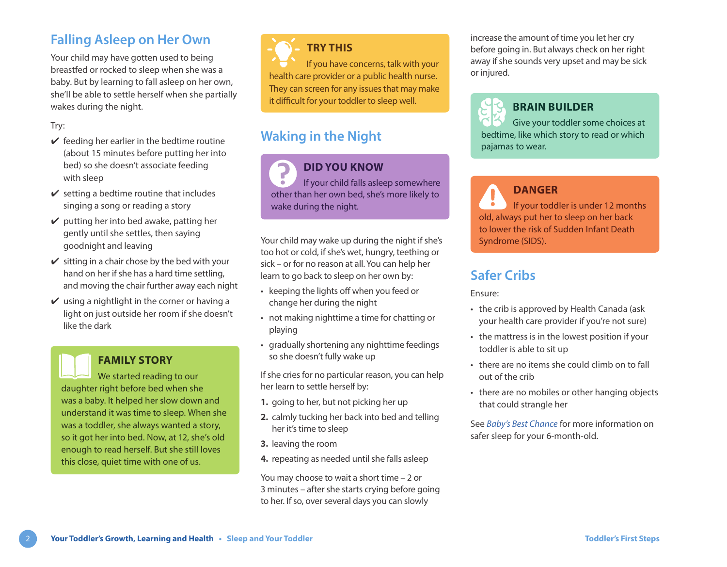## **Falling Asleep on Her Own**

Your child may have gotten used to being breastfed or rocked to sleep when she was a baby. But by learning to fall asleep on her own, she'll be able to settle herself when she partially wakes during the night.

#### Try:

- $\vee$  feeding her earlier in the bedtime routine (about 15 minutes before putting her into bed) so she doesn't associate feeding with sleep
- $\checkmark$  setting a bedtime routine that includes singing a song or reading a story
- $\vee$  putting her into bed awake, patting her gently until she settles, then saying goodnight and leaving
- $\mathbf y$  sitting in a chair chose by the bed with your hand on her if she has a hard time settling, and moving the chair further away each night
- $\vee$  using a nightlight in the corner or having a light on just outside her room if she doesn't like the dark

### **FAMILY STORY**

We started reading to our daughter right before bed when she was a baby. It helped her slow down and understand it was time to sleep. When she was a toddler, she always wanted a story, so it got her into bed. Now, at 12, she's old enough to read herself. But she still loves this close, quiet time with one of us.

# **TRY THIS**

If you have concerns, talk with your health care provider or a public health nurse. They can screen for any issues that may make it difficult for your toddler to sleep well.

# **Waking in the Night**

**DID YOU KNOW** If your child falls asleep somewhere other than her own bed, she's more likely to wake during the night.

Your child may wake up during the night if she's too hot or cold, if she's wet, hungry, teething or sick – or for no reason at all. You can help her learn to go back to sleep on her own by:

- keeping the lights off when you feed or change her during the night
- not making nighttime a time for chatting or playing
- gradually shortening any nighttime feedings so she doesn't fully wake up

If she cries for no particular reason, you can help her learn to settle herself by:

- **1.** going to her, but not picking her up
- **2.** calmly tucking her back into bed and telling her it's time to sleep
- **3.** leaving the room
- **4.** repeating as needed until she falls asleep

You may choose to wait a short time – 2 or 3 minutes – after she starts crying before going to her. If so, over several days you can slowly

increase the amount of time you let her cry before going in. But always check on her right away if she sounds very upset and may be sick or injured.



### **BRAIN BUILDER**

Give your toddler some choices at bedtime, like which story to read or which pajamas to wear.

**DANGER** If your toddler is under 12 months old, always put her to sleep on her back to lower the risk of Sudden Infant Death Syndrome (SIDS).

## **Safer Cribs**

Ensure:

- the crib is approved by Health Canada (ask your health care provider if you're not sure)
- the mattress is in the lowest position if your toddler is able to sit up
- there are no items she could climb on to fall out of the crib
- there are no mobiles or other hanging objects that could strangle her

See *[Baby's Best Chance](https://www.healthlinkbc.ca/pregnancy-parenting/babys-best-chance)* for more information on safer sleep for your 6-month-old.